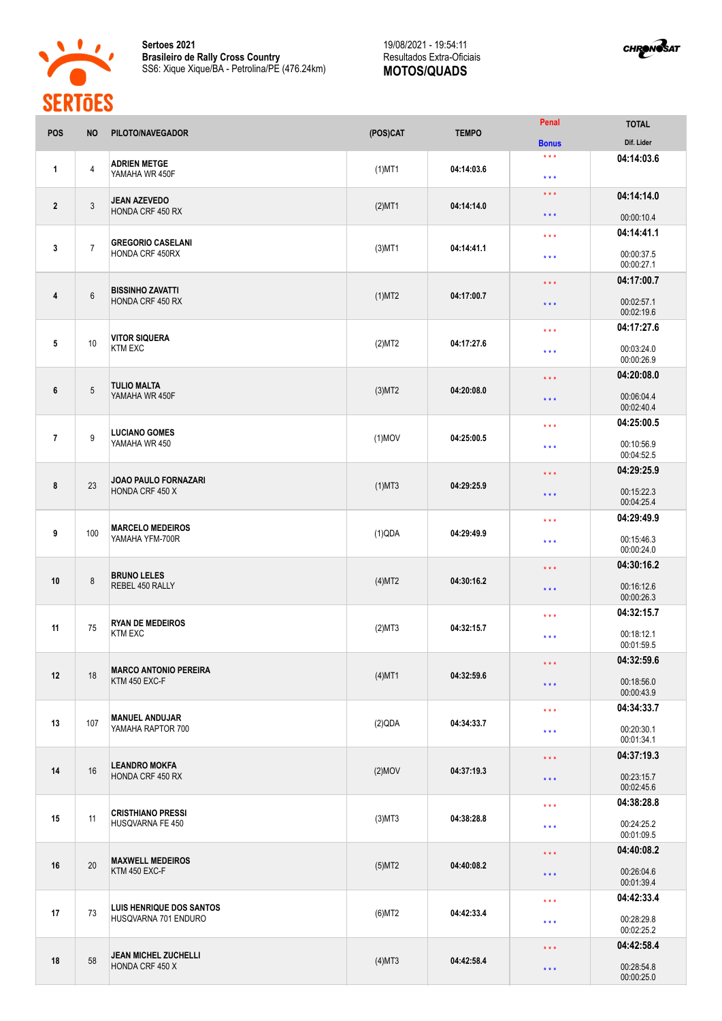



| <b>Bonus</b><br>$\star\star\star$<br>04:14:03.6<br><b>ADRIEN METGE</b><br>4<br>$(1)$ MT1<br>04:14:03.6<br>$\mathbf{1}$<br>YAMAHA WR 450F<br>$\star\star\star$<br>$\star\star\star$<br>04:14:14.0<br><b>JEAN AZEVEDO</b><br>$\mathfrak{Z}$<br>04:14:14.0<br>$\overline{2}$<br>$(2)$ MT1<br>HONDA CRF 450 RX<br>$\star\star\star$<br>00:00:10.4<br>04:14:41.1<br>$\star$ $\star$ $\star$<br><b>GREGORIO CASELANI</b><br>$\overline{7}$<br>3<br>$(3)$ MT1<br>04:14:41.1<br>HONDA CRF 450RX<br>00:00:37.5<br>$***$<br>00:00:27.1<br>04:17:00.7<br>$\star\star\star$<br><b>BISSINHO ZAVATTI</b><br>$6\,$<br>$\overline{4}$<br>$(1)$ MT2<br>04:17:00.7<br>HONDA CRF 450 RX<br>00:02:57.1<br>$\star$ $\star$ $\star$<br>00:02:19.6<br>04:17:27.6<br>$\star\star\star$<br><b>VITOR SIQUERA</b><br>10<br>5<br>(2)MT2<br>04:17:27.6<br><b>KTM EXC</b><br>00:03:24.0<br>$\star\star\star$<br>00:00:26.9<br>04:20:08.0<br>$\star\star\star$<br><b>TULIO MALTA</b><br>$5\phantom{.0}$<br>6<br>$(3)$ MT2<br>04:20:08.0<br>YAMAHA WR 450F<br>00:06:04.4<br>$***$<br>00:02:40.4<br>04:25:00.5<br>$\star \star \star$<br><b>LUCIANO GOMES</b><br>9<br>$\overline{7}$<br>$(1)$ MOV<br>04:25:00.5<br>YAMAHA WR 450<br>00:10:56.9<br>$\star\star\star$<br>00:04:52.5<br>04:29:25.9<br>$***$<br><b>JOAO PAULO FORNAZARI</b><br>23<br>8<br>$(1)$ MT3<br>04:29:25.9<br>HONDA CRF 450 X<br>00:15:22.3<br>$***$<br>00:04:25.4<br>04:29:49.9<br>$\star \star \star$<br><b>MARCELO MEDEIROS</b><br>100<br>9<br>(1)QDA<br>04:29:49.9<br>YAMAHA YFM-700R<br>00:15:46.3<br>$\star$ $\star$ $\star$<br>00:00:24.0<br>04:30:16.2<br>$\star\star\star$<br><b>BRUNO LELES</b><br>10<br>8<br>04:30:16.2<br>(4)MT2<br>REBEL 450 RALLY<br>00:16:12.6<br>$\star\star\star$<br>00:00:26.3<br>04:32:15.7<br>$\star\star\star$<br><b>RYAN DE MEDEIROS</b><br>75<br>11<br>04:32:15.7<br>(2)MT3<br><b>KTM EXC</b><br>00:18:12.1<br>$\star\star\star$<br>00:01:59.5<br>04:32:59.6<br>$\star$ $\star$ $\star$<br><b>MARCO ANTONIO PEREIRA</b><br>18<br>12<br>$(4)$ MT1<br>04:32:59.6<br>KTM 450 EXC-F<br>00:18:56.0<br>$\star\star\star$<br>00:00:43.9<br>04:34:33.7<br>$\star\star\star$<br><b>MANUEL ANDUJAR</b><br>13<br>107<br>(2)QDA<br>04:34:33.7<br>YAMAHA RAPTOR 700<br>00:20:30.1<br>$\star\star\star$<br>00:01:34.1<br>04:37:19.3<br>$\star\star\star$<br><b>LEANDRO MOKFA</b><br>16<br>14<br>$(2)$ MOV<br>04:37:19.3<br>HONDA CRF 450 RX<br>00:23:15.7<br>$\star$ $\star$ $\star$<br>00:02:45.6<br>04:38:28.8<br>$\star\star\star$<br><b>CRISTHIANO PRESSI</b><br>11<br>15<br>$(3)$ MT3<br>04:38:28.8<br>HUSQVARNA FE 450<br>00:24:25.2<br>$\star\star\star$<br>00:01:09.5<br>04:40:08.2<br>$\star\star\star$<br><b>MAXWELL MEDEIROS</b><br>20<br>16<br>$(5)$ MT2<br>04:40:08.2<br>KTM 450 EXC-F<br>00:26:04.6<br>$\star\star\star$<br>00:01:39.4<br>04:42:33.4<br>$\star$ $\star$ $\star$<br>LUIS HENRIQUE DOS SANTOS<br>73<br>17<br>04:42:33.4<br>$(6)$ MT2<br>HUSQVARNA 701 ENDURO<br>00:28:29.8<br>$\star$ $\star$ $\star$<br>00:02:25.2<br>04:42:58.4<br>$\star\star\star$<br><b>JEAN MICHEL ZUCHELLI</b><br>58<br>18<br>$(4)$ MT3<br>04:42:58.4 | POS | <b>NO</b> | PILOTO/NAVEGADOR | (POS)CAT | <b>TEMPO</b>      | Penal      | <b>TOTAL</b> |
|---------------------------------------------------------------------------------------------------------------------------------------------------------------------------------------------------------------------------------------------------------------------------------------------------------------------------------------------------------------------------------------------------------------------------------------------------------------------------------------------------------------------------------------------------------------------------------------------------------------------------------------------------------------------------------------------------------------------------------------------------------------------------------------------------------------------------------------------------------------------------------------------------------------------------------------------------------------------------------------------------------------------------------------------------------------------------------------------------------------------------------------------------------------------------------------------------------------------------------------------------------------------------------------------------------------------------------------------------------------------------------------------------------------------------------------------------------------------------------------------------------------------------------------------------------------------------------------------------------------------------------------------------------------------------------------------------------------------------------------------------------------------------------------------------------------------------------------------------------------------------------------------------------------------------------------------------------------------------------------------------------------------------------------------------------------------------------------------------------------------------------------------------------------------------------------------------------------------------------------------------------------------------------------------------------------------------------------------------------------------------------------------------------------------------------------------------------------------------------------------------------------------------------------------------------------------------------------------------------------------------------------------------------------------------------------------------------------------------------------------------------------------------------------------------------------------------------------------------------------------------------------------------------------------------------------------------------------------------------------------------------------------------------------------------------------------------------------------------------------------|-----|-----------|------------------|----------|-------------------|------------|--------------|
|                                                                                                                                                                                                                                                                                                                                                                                                                                                                                                                                                                                                                                                                                                                                                                                                                                                                                                                                                                                                                                                                                                                                                                                                                                                                                                                                                                                                                                                                                                                                                                                                                                                                                                                                                                                                                                                                                                                                                                                                                                                                                                                                                                                                                                                                                                                                                                                                                                                                                                                                                                                                                                                                                                                                                                                                                                                                                                                                                                                                                                                                                                                     |     |           |                  |          |                   |            | Dif. Lider   |
|                                                                                                                                                                                                                                                                                                                                                                                                                                                                                                                                                                                                                                                                                                                                                                                                                                                                                                                                                                                                                                                                                                                                                                                                                                                                                                                                                                                                                                                                                                                                                                                                                                                                                                                                                                                                                                                                                                                                                                                                                                                                                                                                                                                                                                                                                                                                                                                                                                                                                                                                                                                                                                                                                                                                                                                                                                                                                                                                                                                                                                                                                                                     |     |           |                  |          |                   |            |              |
|                                                                                                                                                                                                                                                                                                                                                                                                                                                                                                                                                                                                                                                                                                                                                                                                                                                                                                                                                                                                                                                                                                                                                                                                                                                                                                                                                                                                                                                                                                                                                                                                                                                                                                                                                                                                                                                                                                                                                                                                                                                                                                                                                                                                                                                                                                                                                                                                                                                                                                                                                                                                                                                                                                                                                                                                                                                                                                                                                                                                                                                                                                                     |     |           |                  |          |                   |            |              |
|                                                                                                                                                                                                                                                                                                                                                                                                                                                                                                                                                                                                                                                                                                                                                                                                                                                                                                                                                                                                                                                                                                                                                                                                                                                                                                                                                                                                                                                                                                                                                                                                                                                                                                                                                                                                                                                                                                                                                                                                                                                                                                                                                                                                                                                                                                                                                                                                                                                                                                                                                                                                                                                                                                                                                                                                                                                                                                                                                                                                                                                                                                                     |     |           |                  |          |                   |            |              |
|                                                                                                                                                                                                                                                                                                                                                                                                                                                                                                                                                                                                                                                                                                                                                                                                                                                                                                                                                                                                                                                                                                                                                                                                                                                                                                                                                                                                                                                                                                                                                                                                                                                                                                                                                                                                                                                                                                                                                                                                                                                                                                                                                                                                                                                                                                                                                                                                                                                                                                                                                                                                                                                                                                                                                                                                                                                                                                                                                                                                                                                                                                                     |     |           |                  |          |                   |            |              |
|                                                                                                                                                                                                                                                                                                                                                                                                                                                                                                                                                                                                                                                                                                                                                                                                                                                                                                                                                                                                                                                                                                                                                                                                                                                                                                                                                                                                                                                                                                                                                                                                                                                                                                                                                                                                                                                                                                                                                                                                                                                                                                                                                                                                                                                                                                                                                                                                                                                                                                                                                                                                                                                                                                                                                                                                                                                                                                                                                                                                                                                                                                                     |     |           |                  |          |                   |            |              |
|                                                                                                                                                                                                                                                                                                                                                                                                                                                                                                                                                                                                                                                                                                                                                                                                                                                                                                                                                                                                                                                                                                                                                                                                                                                                                                                                                                                                                                                                                                                                                                                                                                                                                                                                                                                                                                                                                                                                                                                                                                                                                                                                                                                                                                                                                                                                                                                                                                                                                                                                                                                                                                                                                                                                                                                                                                                                                                                                                                                                                                                                                                                     |     |           |                  |          |                   |            |              |
|                                                                                                                                                                                                                                                                                                                                                                                                                                                                                                                                                                                                                                                                                                                                                                                                                                                                                                                                                                                                                                                                                                                                                                                                                                                                                                                                                                                                                                                                                                                                                                                                                                                                                                                                                                                                                                                                                                                                                                                                                                                                                                                                                                                                                                                                                                                                                                                                                                                                                                                                                                                                                                                                                                                                                                                                                                                                                                                                                                                                                                                                                                                     |     |           |                  |          |                   |            |              |
|                                                                                                                                                                                                                                                                                                                                                                                                                                                                                                                                                                                                                                                                                                                                                                                                                                                                                                                                                                                                                                                                                                                                                                                                                                                                                                                                                                                                                                                                                                                                                                                                                                                                                                                                                                                                                                                                                                                                                                                                                                                                                                                                                                                                                                                                                                                                                                                                                                                                                                                                                                                                                                                                                                                                                                                                                                                                                                                                                                                                                                                                                                                     |     |           |                  |          |                   |            |              |
|                                                                                                                                                                                                                                                                                                                                                                                                                                                                                                                                                                                                                                                                                                                                                                                                                                                                                                                                                                                                                                                                                                                                                                                                                                                                                                                                                                                                                                                                                                                                                                                                                                                                                                                                                                                                                                                                                                                                                                                                                                                                                                                                                                                                                                                                                                                                                                                                                                                                                                                                                                                                                                                                                                                                                                                                                                                                                                                                                                                                                                                                                                                     |     |           |                  |          |                   |            |              |
|                                                                                                                                                                                                                                                                                                                                                                                                                                                                                                                                                                                                                                                                                                                                                                                                                                                                                                                                                                                                                                                                                                                                                                                                                                                                                                                                                                                                                                                                                                                                                                                                                                                                                                                                                                                                                                                                                                                                                                                                                                                                                                                                                                                                                                                                                                                                                                                                                                                                                                                                                                                                                                                                                                                                                                                                                                                                                                                                                                                                                                                                                                                     |     |           |                  |          |                   |            |              |
|                                                                                                                                                                                                                                                                                                                                                                                                                                                                                                                                                                                                                                                                                                                                                                                                                                                                                                                                                                                                                                                                                                                                                                                                                                                                                                                                                                                                                                                                                                                                                                                                                                                                                                                                                                                                                                                                                                                                                                                                                                                                                                                                                                                                                                                                                                                                                                                                                                                                                                                                                                                                                                                                                                                                                                                                                                                                                                                                                                                                                                                                                                                     |     |           |                  |          |                   |            |              |
|                                                                                                                                                                                                                                                                                                                                                                                                                                                                                                                                                                                                                                                                                                                                                                                                                                                                                                                                                                                                                                                                                                                                                                                                                                                                                                                                                                                                                                                                                                                                                                                                                                                                                                                                                                                                                                                                                                                                                                                                                                                                                                                                                                                                                                                                                                                                                                                                                                                                                                                                                                                                                                                                                                                                                                                                                                                                                                                                                                                                                                                                                                                     |     |           |                  |          |                   |            |              |
|                                                                                                                                                                                                                                                                                                                                                                                                                                                                                                                                                                                                                                                                                                                                                                                                                                                                                                                                                                                                                                                                                                                                                                                                                                                                                                                                                                                                                                                                                                                                                                                                                                                                                                                                                                                                                                                                                                                                                                                                                                                                                                                                                                                                                                                                                                                                                                                                                                                                                                                                                                                                                                                                                                                                                                                                                                                                                                                                                                                                                                                                                                                     |     |           |                  |          |                   |            |              |
|                                                                                                                                                                                                                                                                                                                                                                                                                                                                                                                                                                                                                                                                                                                                                                                                                                                                                                                                                                                                                                                                                                                                                                                                                                                                                                                                                                                                                                                                                                                                                                                                                                                                                                                                                                                                                                                                                                                                                                                                                                                                                                                                                                                                                                                                                                                                                                                                                                                                                                                                                                                                                                                                                                                                                                                                                                                                                                                                                                                                                                                                                                                     |     |           |                  |          |                   |            |              |
|                                                                                                                                                                                                                                                                                                                                                                                                                                                                                                                                                                                                                                                                                                                                                                                                                                                                                                                                                                                                                                                                                                                                                                                                                                                                                                                                                                                                                                                                                                                                                                                                                                                                                                                                                                                                                                                                                                                                                                                                                                                                                                                                                                                                                                                                                                                                                                                                                                                                                                                                                                                                                                                                                                                                                                                                                                                                                                                                                                                                                                                                                                                     |     |           |                  |          |                   |            |              |
|                                                                                                                                                                                                                                                                                                                                                                                                                                                                                                                                                                                                                                                                                                                                                                                                                                                                                                                                                                                                                                                                                                                                                                                                                                                                                                                                                                                                                                                                                                                                                                                                                                                                                                                                                                                                                                                                                                                                                                                                                                                                                                                                                                                                                                                                                                                                                                                                                                                                                                                                                                                                                                                                                                                                                                                                                                                                                                                                                                                                                                                                                                                     |     |           |                  |          |                   |            |              |
|                                                                                                                                                                                                                                                                                                                                                                                                                                                                                                                                                                                                                                                                                                                                                                                                                                                                                                                                                                                                                                                                                                                                                                                                                                                                                                                                                                                                                                                                                                                                                                                                                                                                                                                                                                                                                                                                                                                                                                                                                                                                                                                                                                                                                                                                                                                                                                                                                                                                                                                                                                                                                                                                                                                                                                                                                                                                                                                                                                                                                                                                                                                     |     |           |                  |          |                   |            |              |
|                                                                                                                                                                                                                                                                                                                                                                                                                                                                                                                                                                                                                                                                                                                                                                                                                                                                                                                                                                                                                                                                                                                                                                                                                                                                                                                                                                                                                                                                                                                                                                                                                                                                                                                                                                                                                                                                                                                                                                                                                                                                                                                                                                                                                                                                                                                                                                                                                                                                                                                                                                                                                                                                                                                                                                                                                                                                                                                                                                                                                                                                                                                     |     |           |                  |          |                   |            |              |
|                                                                                                                                                                                                                                                                                                                                                                                                                                                                                                                                                                                                                                                                                                                                                                                                                                                                                                                                                                                                                                                                                                                                                                                                                                                                                                                                                                                                                                                                                                                                                                                                                                                                                                                                                                                                                                                                                                                                                                                                                                                                                                                                                                                                                                                                                                                                                                                                                                                                                                                                                                                                                                                                                                                                                                                                                                                                                                                                                                                                                                                                                                                     |     |           |                  |          |                   |            |              |
|                                                                                                                                                                                                                                                                                                                                                                                                                                                                                                                                                                                                                                                                                                                                                                                                                                                                                                                                                                                                                                                                                                                                                                                                                                                                                                                                                                                                                                                                                                                                                                                                                                                                                                                                                                                                                                                                                                                                                                                                                                                                                                                                                                                                                                                                                                                                                                                                                                                                                                                                                                                                                                                                                                                                                                                                                                                                                                                                                                                                                                                                                                                     |     |           |                  |          |                   |            |              |
|                                                                                                                                                                                                                                                                                                                                                                                                                                                                                                                                                                                                                                                                                                                                                                                                                                                                                                                                                                                                                                                                                                                                                                                                                                                                                                                                                                                                                                                                                                                                                                                                                                                                                                                                                                                                                                                                                                                                                                                                                                                                                                                                                                                                                                                                                                                                                                                                                                                                                                                                                                                                                                                                                                                                                                                                                                                                                                                                                                                                                                                                                                                     |     |           |                  |          |                   |            |              |
|                                                                                                                                                                                                                                                                                                                                                                                                                                                                                                                                                                                                                                                                                                                                                                                                                                                                                                                                                                                                                                                                                                                                                                                                                                                                                                                                                                                                                                                                                                                                                                                                                                                                                                                                                                                                                                                                                                                                                                                                                                                                                                                                                                                                                                                                                                                                                                                                                                                                                                                                                                                                                                                                                                                                                                                                                                                                                                                                                                                                                                                                                                                     |     |           |                  |          |                   |            |              |
|                                                                                                                                                                                                                                                                                                                                                                                                                                                                                                                                                                                                                                                                                                                                                                                                                                                                                                                                                                                                                                                                                                                                                                                                                                                                                                                                                                                                                                                                                                                                                                                                                                                                                                                                                                                                                                                                                                                                                                                                                                                                                                                                                                                                                                                                                                                                                                                                                                                                                                                                                                                                                                                                                                                                                                                                                                                                                                                                                                                                                                                                                                                     |     |           |                  |          |                   |            |              |
|                                                                                                                                                                                                                                                                                                                                                                                                                                                                                                                                                                                                                                                                                                                                                                                                                                                                                                                                                                                                                                                                                                                                                                                                                                                                                                                                                                                                                                                                                                                                                                                                                                                                                                                                                                                                                                                                                                                                                                                                                                                                                                                                                                                                                                                                                                                                                                                                                                                                                                                                                                                                                                                                                                                                                                                                                                                                                                                                                                                                                                                                                                                     |     |           |                  |          |                   |            |              |
|                                                                                                                                                                                                                                                                                                                                                                                                                                                                                                                                                                                                                                                                                                                                                                                                                                                                                                                                                                                                                                                                                                                                                                                                                                                                                                                                                                                                                                                                                                                                                                                                                                                                                                                                                                                                                                                                                                                                                                                                                                                                                                                                                                                                                                                                                                                                                                                                                                                                                                                                                                                                                                                                                                                                                                                                                                                                                                                                                                                                                                                                                                                     |     |           |                  |          |                   |            |              |
|                                                                                                                                                                                                                                                                                                                                                                                                                                                                                                                                                                                                                                                                                                                                                                                                                                                                                                                                                                                                                                                                                                                                                                                                                                                                                                                                                                                                                                                                                                                                                                                                                                                                                                                                                                                                                                                                                                                                                                                                                                                                                                                                                                                                                                                                                                                                                                                                                                                                                                                                                                                                                                                                                                                                                                                                                                                                                                                                                                                                                                                                                                                     |     |           |                  |          |                   |            |              |
|                                                                                                                                                                                                                                                                                                                                                                                                                                                                                                                                                                                                                                                                                                                                                                                                                                                                                                                                                                                                                                                                                                                                                                                                                                                                                                                                                                                                                                                                                                                                                                                                                                                                                                                                                                                                                                                                                                                                                                                                                                                                                                                                                                                                                                                                                                                                                                                                                                                                                                                                                                                                                                                                                                                                                                                                                                                                                                                                                                                                                                                                                                                     |     |           |                  |          |                   |            |              |
|                                                                                                                                                                                                                                                                                                                                                                                                                                                                                                                                                                                                                                                                                                                                                                                                                                                                                                                                                                                                                                                                                                                                                                                                                                                                                                                                                                                                                                                                                                                                                                                                                                                                                                                                                                                                                                                                                                                                                                                                                                                                                                                                                                                                                                                                                                                                                                                                                                                                                                                                                                                                                                                                                                                                                                                                                                                                                                                                                                                                                                                                                                                     |     |           |                  |          |                   |            |              |
|                                                                                                                                                                                                                                                                                                                                                                                                                                                                                                                                                                                                                                                                                                                                                                                                                                                                                                                                                                                                                                                                                                                                                                                                                                                                                                                                                                                                                                                                                                                                                                                                                                                                                                                                                                                                                                                                                                                                                                                                                                                                                                                                                                                                                                                                                                                                                                                                                                                                                                                                                                                                                                                                                                                                                                                                                                                                                                                                                                                                                                                                                                                     |     |           |                  |          |                   |            |              |
|                                                                                                                                                                                                                                                                                                                                                                                                                                                                                                                                                                                                                                                                                                                                                                                                                                                                                                                                                                                                                                                                                                                                                                                                                                                                                                                                                                                                                                                                                                                                                                                                                                                                                                                                                                                                                                                                                                                                                                                                                                                                                                                                                                                                                                                                                                                                                                                                                                                                                                                                                                                                                                                                                                                                                                                                                                                                                                                                                                                                                                                                                                                     |     |           |                  |          |                   |            |              |
|                                                                                                                                                                                                                                                                                                                                                                                                                                                                                                                                                                                                                                                                                                                                                                                                                                                                                                                                                                                                                                                                                                                                                                                                                                                                                                                                                                                                                                                                                                                                                                                                                                                                                                                                                                                                                                                                                                                                                                                                                                                                                                                                                                                                                                                                                                                                                                                                                                                                                                                                                                                                                                                                                                                                                                                                                                                                                                                                                                                                                                                                                                                     |     |           |                  |          |                   |            |              |
|                                                                                                                                                                                                                                                                                                                                                                                                                                                                                                                                                                                                                                                                                                                                                                                                                                                                                                                                                                                                                                                                                                                                                                                                                                                                                                                                                                                                                                                                                                                                                                                                                                                                                                                                                                                                                                                                                                                                                                                                                                                                                                                                                                                                                                                                                                                                                                                                                                                                                                                                                                                                                                                                                                                                                                                                                                                                                                                                                                                                                                                                                                                     |     |           |                  |          |                   |            |              |
|                                                                                                                                                                                                                                                                                                                                                                                                                                                                                                                                                                                                                                                                                                                                                                                                                                                                                                                                                                                                                                                                                                                                                                                                                                                                                                                                                                                                                                                                                                                                                                                                                                                                                                                                                                                                                                                                                                                                                                                                                                                                                                                                                                                                                                                                                                                                                                                                                                                                                                                                                                                                                                                                                                                                                                                                                                                                                                                                                                                                                                                                                                                     |     |           |                  |          |                   |            |              |
|                                                                                                                                                                                                                                                                                                                                                                                                                                                                                                                                                                                                                                                                                                                                                                                                                                                                                                                                                                                                                                                                                                                                                                                                                                                                                                                                                                                                                                                                                                                                                                                                                                                                                                                                                                                                                                                                                                                                                                                                                                                                                                                                                                                                                                                                                                                                                                                                                                                                                                                                                                                                                                                                                                                                                                                                                                                                                                                                                                                                                                                                                                                     |     |           |                  |          |                   |            |              |
|                                                                                                                                                                                                                                                                                                                                                                                                                                                                                                                                                                                                                                                                                                                                                                                                                                                                                                                                                                                                                                                                                                                                                                                                                                                                                                                                                                                                                                                                                                                                                                                                                                                                                                                                                                                                                                                                                                                                                                                                                                                                                                                                                                                                                                                                                                                                                                                                                                                                                                                                                                                                                                                                                                                                                                                                                                                                                                                                                                                                                                                                                                                     |     |           |                  |          |                   |            |              |
|                                                                                                                                                                                                                                                                                                                                                                                                                                                                                                                                                                                                                                                                                                                                                                                                                                                                                                                                                                                                                                                                                                                                                                                                                                                                                                                                                                                                                                                                                                                                                                                                                                                                                                                                                                                                                                                                                                                                                                                                                                                                                                                                                                                                                                                                                                                                                                                                                                                                                                                                                                                                                                                                                                                                                                                                                                                                                                                                                                                                                                                                                                                     |     |           |                  |          |                   |            |              |
|                                                                                                                                                                                                                                                                                                                                                                                                                                                                                                                                                                                                                                                                                                                                                                                                                                                                                                                                                                                                                                                                                                                                                                                                                                                                                                                                                                                                                                                                                                                                                                                                                                                                                                                                                                                                                                                                                                                                                                                                                                                                                                                                                                                                                                                                                                                                                                                                                                                                                                                                                                                                                                                                                                                                                                                                                                                                                                                                                                                                                                                                                                                     |     |           |                  |          |                   |            |              |
|                                                                                                                                                                                                                                                                                                                                                                                                                                                                                                                                                                                                                                                                                                                                                                                                                                                                                                                                                                                                                                                                                                                                                                                                                                                                                                                                                                                                                                                                                                                                                                                                                                                                                                                                                                                                                                                                                                                                                                                                                                                                                                                                                                                                                                                                                                                                                                                                                                                                                                                                                                                                                                                                                                                                                                                                                                                                                                                                                                                                                                                                                                                     |     |           |                  |          |                   |            |              |
|                                                                                                                                                                                                                                                                                                                                                                                                                                                                                                                                                                                                                                                                                                                                                                                                                                                                                                                                                                                                                                                                                                                                                                                                                                                                                                                                                                                                                                                                                                                                                                                                                                                                                                                                                                                                                                                                                                                                                                                                                                                                                                                                                                                                                                                                                                                                                                                                                                                                                                                                                                                                                                                                                                                                                                                                                                                                                                                                                                                                                                                                                                                     |     |           |                  |          |                   |            |              |
|                                                                                                                                                                                                                                                                                                                                                                                                                                                                                                                                                                                                                                                                                                                                                                                                                                                                                                                                                                                                                                                                                                                                                                                                                                                                                                                                                                                                                                                                                                                                                                                                                                                                                                                                                                                                                                                                                                                                                                                                                                                                                                                                                                                                                                                                                                                                                                                                                                                                                                                                                                                                                                                                                                                                                                                                                                                                                                                                                                                                                                                                                                                     |     |           | HONDA CRF 450 X  |          | $\star\star\star$ |            |              |
|                                                                                                                                                                                                                                                                                                                                                                                                                                                                                                                                                                                                                                                                                                                                                                                                                                                                                                                                                                                                                                                                                                                                                                                                                                                                                                                                                                                                                                                                                                                                                                                                                                                                                                                                                                                                                                                                                                                                                                                                                                                                                                                                                                                                                                                                                                                                                                                                                                                                                                                                                                                                                                                                                                                                                                                                                                                                                                                                                                                                                                                                                                                     |     |           |                  |          |                   |            |              |
| 00:00:25.0                                                                                                                                                                                                                                                                                                                                                                                                                                                                                                                                                                                                                                                                                                                                                                                                                                                                                                                                                                                                                                                                                                                                                                                                                                                                                                                                                                                                                                                                                                                                                                                                                                                                                                                                                                                                                                                                                                                                                                                                                                                                                                                                                                                                                                                                                                                                                                                                                                                                                                                                                                                                                                                                                                                                                                                                                                                                                                                                                                                                                                                                                                          |     |           |                  |          |                   | 00:28:54.8 |              |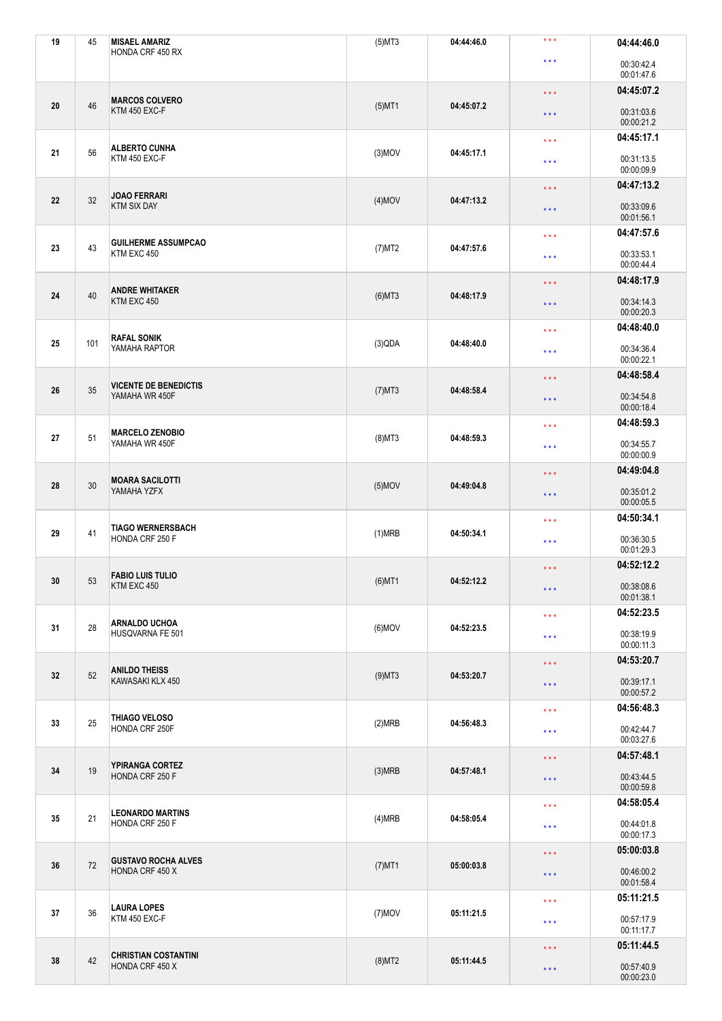| 19 | 45  | <b>MISAEL AMARIZ</b>                           | $(5)$ MT3 | 04:44:46.0 | $***$                                                                                        | 04:44:46.0               |
|----|-----|------------------------------------------------|-----------|------------|----------------------------------------------------------------------------------------------|--------------------------|
|    |     | HONDA CRF 450 RX                               |           |            | $\star\star\star$                                                                            | 00:30:42.4<br>00:01:47.6 |
| 20 |     | <b>MARCOS COLVERO</b><br>KTM 450 EXC-F         |           |            | $\star$ $\star$ $\star$                                                                      | 04:45:07.2               |
|    | 46  |                                                | $(5)$ MT1 | 04:45:07.2 | $\star$ $\star$ $\star$                                                                      | 00:31:03.6<br>00:00:21.2 |
|    |     | <b>ALBERTO CUNHA</b><br>KTM 450 EXC-F          |           |            | $\star$ $\star$ $\star$                                                                      | 04:45:17.1               |
| 21 | 56  |                                                | $(3)$ MOV | 04:45:17.1 | $\star$ $\star$ $\star$                                                                      | 00:31:13.5<br>00:00:09.9 |
|    | 32  | <b>JOAO FERRARI</b>                            |           |            | $\star$ $\star$ $\star$                                                                      | 04:47:13.2               |
| 22 |     | <b>KTM SIX DAY</b>                             | $(4)$ MOV | 04:47:13.2 | $\star\star\star$                                                                            | 00:33:09.6<br>00:01:56.1 |
|    | 43  | <b>GUILHERME ASSUMPCAO</b><br>KTM EXC 450      |           |            | $\star\star\star$                                                                            | 04:47:57.6               |
| 23 |     |                                                | (7)MT2    | 04:47:57.6 | $\star$ $\star$ $\star$                                                                      | 00:33:53.1<br>00:00:44.4 |
|    | 40  | <b>ANDRE WHITAKER</b>                          |           |            | $\star$ $\star$ $\star$                                                                      | 04:48:17.9               |
| 24 |     | KTM EXC 450                                    | $(6)$ MT3 | 04:48:17.9 | $\star$ $\star$ $\star$                                                                      | 00:34:14.3<br>00:00:20.3 |
|    |     | <b>RAFAL SONIK</b>                             |           |            | $\star\star\star$                                                                            | 04:48:40.0               |
| 25 | 101 | YAMAHA RAPTOR                                  | (3)QDA    | 04:48:40.0 | $\star$ $\star$ $\star$                                                                      | 00:34:36.4<br>00:00:22.1 |
|    |     | <b>VICENTE DE BENEDICTIS</b>                   |           |            | $\star$ $\star$ $\star$                                                                      | 04:48:58.4               |
| 26 | 35  | YAMAHA WR 450F                                 | $(7)$ MT3 | 04:48:58.4 | $\star$ $\star$ $\star$                                                                      | 00:34:54.8<br>00:00:18.4 |
|    |     | <b>MARCELO ZENOBIO</b><br>YAMAHA WR 450F       |           |            | 04:48:59.3<br>$\star\star\star$                                                              |                          |
| 27 | 51  |                                                | $(8)$ MT3 | 04:48:59.3 | $\star$ $\star$ $\star$                                                                      | 00:34:55.7<br>00:00:00.9 |
|    |     | <b>MOARA SACILOTTI</b><br>YAMAHA YZFX          |           |            | $\star$ $\star$ $\star$                                                                      | 04:49:04.8               |
| 28 | 30  |                                                | $(5)$ MOV | 04:49:04.8 | $\star$ $\star$ $\star$                                                                      | 00:35:01.2<br>00:00:05.5 |
|    | 41  | <b>TIAGO WERNERSBACH</b><br>HONDA CRF 250 F    |           |            | $***$                                                                                        | 04:50:34.1               |
| 29 |     |                                                | (1)MRB    | 04:50:34.1 | 00:36:30.5<br>$\star$ $\star$ $\star$<br>00:01:29.3<br>04:52:12.2<br>$\star$ $\star$ $\star$ |                          |
|    |     | <b>FABIO LUIS TULIO</b>                        |           |            |                                                                                              |                          |
| 30 | 53  | KTM EXC 450                                    | $(6)$ MT1 | 04:52:12.2 | $\star$ $\star$ $\star$                                                                      | 00:38:08.6<br>00:01:38.1 |
|    |     | <b>ARNALDO UCHOA</b>                           |           |            | $\star\star\star$                                                                            | 04:52:23.5               |
| 31 | 28  | HUSQVARNA FE 501                               | $(6)$ MOV | 04:52:23.5 | $\star$ $\star$ $\star$                                                                      | 00:38:19.9<br>00:00:11.3 |
|    |     | <b>ANILDO THEISS</b>                           |           | 04:53:20.7 | $\star$ $\star$ $\star$                                                                      | 04:53:20.7               |
| 32 | 52  | KAWASAKI KLX 450                               | $(9)$ MT3 |            | $\star$ $\star$ $\star$                                                                      | 00:39:17.1<br>00:00:57.2 |
|    | 25  | THIAGO VELOSO<br>HONDA CRF 250F                |           |            | $\star\star\star$                                                                            | 04:56:48.3               |
| 33 |     |                                                | (2)MRB    |            | 04:56:48.3<br>$\star\star\star$                                                              | 00:42:44.7<br>00:03:27.6 |
|    | 19  | <b>YPIRANGA CORTEZ</b><br>HONDA CRF 250 F      |           |            | $\star$ $\star$ $\star$                                                                      | 04:57:48.1               |
| 34 |     |                                                | (3)MRB    | 04:57:48.1 | $\star\star\star$                                                                            | 00:43:44.5<br>00:00:59.8 |
|    | 21  | <b>LEONARDO MARTINS</b><br>HONDA CRF 250 F     |           |            | $\star\star\star$                                                                            | 04:58:05.4               |
| 35 |     |                                                | (4)MRB    | 04:58:05.4 | $\star\star\star$                                                                            | 00:44:01.8<br>00:00:17.3 |
|    | 72  | <b>GUSTAVO ROCHA ALVES</b><br>HONDA CRF 450 X  |           |            | $\star$ $\star$ $\star$                                                                      | 05:00:03.8               |
| 36 |     |                                                | $(7)$ MT1 | 05:00:03.8 | $\star\star\star$                                                                            | 00:46:00.2<br>00:01:58.4 |
|    |     | <b>LAURA LOPES</b><br>KTM 450 EXC-F            |           |            | $\star\star\star$                                                                            | 05:11:21.5               |
| 37 | 36  |                                                | $(7)$ MOV | 05:11:21.5 | $\star\star\star$                                                                            | 00:57:17.9<br>00:11:17.7 |
|    | 42  | <b>CHRISTIAN COSTANTINI</b><br>HONDA CRF 450 X |           |            | $\star$ $\star$ $\star$                                                                      | 05:11:44.5               |
| 38 |     |                                                | $(8)$ MT2 | 05:11:44.5 | $\star\star\star$                                                                            | 00:57:40.9<br>00:00:23.0 |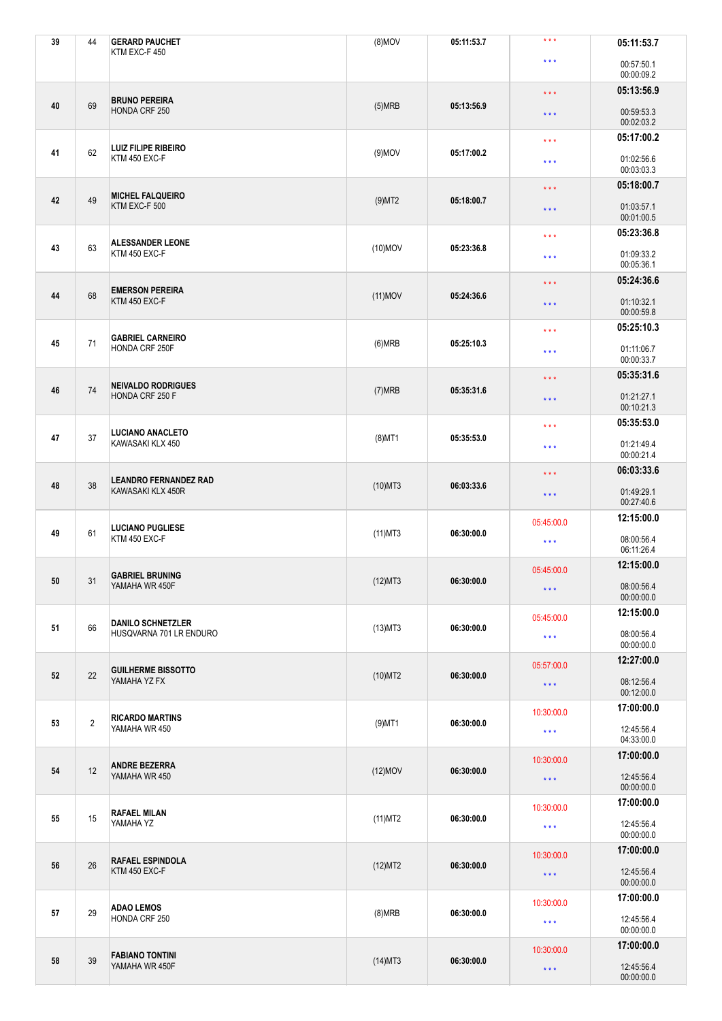| 39 | 44             | <b>GERARD PAUCHET</b><br>KTM EXC-F 450              | $(8)$ MOV                | 05:11:53.7                      | $***$                                              | 05:11:53.7               |
|----|----------------|-----------------------------------------------------|--------------------------|---------------------------------|----------------------------------------------------|--------------------------|
|    |                |                                                     |                          |                                 | $\star\star\star$                                  | 00:57:50.1<br>00:00:09.2 |
|    |                |                                                     |                          |                                 | $\star$ $\star$ $\star$                            | 05:13:56.9               |
| 40 | 69             | <b>BRUNO PEREIRA</b><br>HONDA CRF 250               | (5)MRB                   | 05:13:56.9                      | $\star$ $\star$ $\star$                            | 00:59:53.3<br>00:02:03.2 |
|    |                | <b>LUIZ FILIPE RIBEIRO</b><br>KTM 450 EXC-F         |                          |                                 | $\star$ $\star$ $\star$                            | 05:17:00.2               |
| 41 | 62             |                                                     | $(9)$ MOV                | 05:17:00.2                      | $\star$ $\star$ $\star$                            | 01:02:56.6<br>00:03:03.3 |
|    | 49             | <b>MICHEL FALQUEIRO</b>                             |                          |                                 | $\star$ $\star$ $\star$                            | 05:18:00.7               |
| 42 |                | KTM EXC-F 500                                       | $(9)$ MT2                | 05:18:00.7                      | $\star\star\star$                                  | 01:03:57.1<br>00:01:00.5 |
|    | 63             | <b>ALESSANDER LEONE</b><br>KTM 450 EXC-F            |                          |                                 | $\star\star\star$                                  | 05:23:36.8               |
| 43 |                |                                                     | $(10)$ MOV<br>05:23:36.8 |                                 | $\star$ $\star$ $\star$                            | 01:09:33.2<br>00:05:36.1 |
|    | 68             | <b>EMERSON PEREIRA</b><br>KTM 450 EXC-F             |                          |                                 | $\star$ $\star$ $\star$                            | 05:24:36.6               |
| 44 |                |                                                     | $(11)$ MOV               | 05:24:36.6                      | $\star$ $\star$ $\star$                            | 01:10:32.1<br>00:00:59.8 |
|    |                | <b>GABRIEL CARNEIRO</b>                             |                          |                                 | $\star\star\star$                                  | 05:25:10.3               |
| 45 | 71             | HONDA CRF 250F                                      | (6)MRB                   | 05:25:10.3                      | $***$                                              | 01:11:06.7<br>00:00:33.7 |
|    |                | <b>NEIVALDO RODRIGUES</b><br>HONDA CRF 250 F        |                          |                                 | $\star$ $\star$ $\star$                            | 05:35:31.6               |
| 46 | $74$           |                                                     | (7)MRB                   | 05:35:31.6                      | $\star$ $\star$ $\star$                            | 01:21:27.1<br>00:10:21.3 |
|    |                | <b>LUCIANO ANACLETO</b><br>KAWASAKI KLX 450         |                          |                                 | 05:35:53.0<br>$\star$ $\star$ $\star$              |                          |
| 47 | 37             |                                                     | $(8)$ MT1                | 05:35:53.0                      | $\star$ $\star$ $\star$                            | 01:21:49.4<br>00:00:21.4 |
|    |                | <b>LEANDRO FERNANDEZ RAD</b><br>KAWASAKI KLX 450R   |                          |                                 | $\star$ $\star$ $\star$<br>$\star$ $\star$ $\star$ | 06:03:33.6               |
| 48 | 38             |                                                     | $(10)$ MT3               | 06:03:33.6                      |                                                    | 01:49:29.1<br>00:27:40.6 |
|    | 61             | <b>LUCIANO PUGLIESE</b><br>KTM 450 EXC-F            |                          |                                 | 05:45:00.0                                         | 12:15:00.0               |
| 49 |                |                                                     | $(11)$ MT3               | 06:30:00.0                      | 08:00:56.4<br>$\star\star\star$<br>06:11:26.4      |                          |
|    |                | <b>GABRIEL BRUNING</b>                              |                          |                                 | 05:45:00.0                                         | 12:15:00.0               |
| 50 | 31             | YAMAHA WR 450F                                      | $(12)$ MT3               | 06:30:00.0                      | $\star\star\star$                                  | 08:00:56.4<br>00:00:00.0 |
|    |                | <b>DANILO SCHNETZLER</b><br>HUSQVARNA 701 LR ENDURO |                          |                                 | 05:45:00.0                                         | 12:15:00.0               |
| 51 | 66             |                                                     | $(13)$ MT3               | 06:30:00.0                      | $\star\star\star$                                  | 08:00:56.4<br>00:00:00.0 |
|    |                |                                                     |                          | 06:30:00.0                      | 05:57:00.0                                         | 12:27:00.0               |
| 52 | 22             | <b>GUILHERME BISSOTTO</b><br>YAMAHA YZ FX           | $(10)$ MT2               |                                 | $\star$ $\star$ $\star$                            | 08:12:56.4<br>00:12:00.0 |
|    | $\overline{2}$ | <b>RICARDO MARTINS</b><br>YAMAHA WR 450             |                          |                                 | 10:30:00.0                                         | 17:00:00.0               |
| 53 |                |                                                     | $(9)$ MT1                | 06:30:00.0                      | $\star\star\star$                                  | 12:45:56.4<br>04:33:00.0 |
|    | 12             | <b>ANDRE BEZERRA</b><br>YAMAHA WR 450               |                          |                                 | 10:30:00.0                                         | 17:00:00.0               |
| 54 |                |                                                     | $(12)$ MOV               | 06:30:00.0                      | $\star$ $\star$ $\star$                            | 12:45:56.4<br>00:00:00.0 |
|    | 15             | <b>RAFAEL MILAN</b><br>YAMAHA YZ                    |                          |                                 | 10:30:00.0                                         | 17:00:00.0               |
| 55 |                |                                                     | $(11)$ MT2               | 06:30:00.0                      | $\star\star\star$                                  | 12:45:56.4<br>00:00:00.0 |
|    | 26             | <b>RAFAEL ESPINDOLA</b><br>KTM 450 EXC-F            |                          |                                 | 10:30:00.0                                         | 17:00:00.0               |
| 56 |                |                                                     | (12)MT2                  | 06:30:00.0                      | $\star\star\star$                                  | 12:45:56.4<br>00:00:00.0 |
|    |                | <b>ADAO LEMOS</b><br>HONDA CRF 250                  |                          | 06:30:00.0<br>$\star\star\star$ | 10:30:00.0                                         | 17:00:00.0               |
| 57 | 29             |                                                     | (8)MRB                   |                                 |                                                    | 12:45:56.4<br>00:00:00.0 |
| 58 | $39\,$         | <b>FABIANO TONTINI</b><br>YAMAHA WR 450F            |                          |                                 | 10:30:00.0                                         | 17:00:00.0               |
|    |                |                                                     | $(14)$ MT3               | 06:30:00.0                      | $\star\star\star$                                  | 12:45:56.4<br>00:00:00.0 |